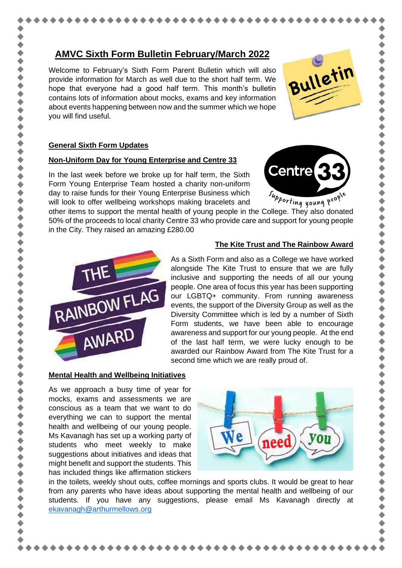# **AMVC Sixth Form Bulletin February/March 2022**

Welcome to February's Sixth Form Parent Bulletin which will also provide information for March as well due to the short half term. We hope that everyone had a good half term. This month's bulletin contains lots of information about mocks, exams and key information about events happening between now and the summer which we hope you will find useful.

## **General Sixth Form Updates**

### **Non-Uniform Day for Young Enterprise and Centre 33**

In the last week before we broke up for half term, the Sixth Form Young Enterprise Team hosted a charity non-uniform day to raise funds for their Young Enterprise Business which will look to offer wellbeing workshops making bracelets and day to raise funds for their Young Enterprise Business which the *upporting young* peopler will look to offer wellbeing workshops making bracelets and<br>other items to support the mental health of young people in the College

50% of the proceeds to local charity Centre 33 who provide care and support for young people in the City. They raised an amazing £280.00



### **The Kite Trust and The Rainbow Award**

Bulletin

Centre $\epsilon$ 

As a Sixth Form and also as a College we have worked alongside The Kite Trust to ensure that we are fully inclusive and supporting the needs of all our young people. One area of focus this year has been supporting our LGBTQ+ community. From running awareness events, the support of the Diversity Group as well as the Diversity Committee which is led by a number of Sixth Form students, we have been able to encourage awareness and support for our young people. At the end of the last half term, we were lucky enough to be awarded our Rainbow Award from The Kite Trust for a second time which we are really proud of.

### **Mental Health and Wellbeing Initiatives**

As we approach a busy time of year for mocks, exams and assessments we are conscious as a team that we want to do everything we can to support the mental health and wellbeing of our young people. Ms Kavanagh has set up a working party of students who meet weekly to make suggestions about initiatives and ideas that might benefit and support the students. This has included things like affirmation stickers



in the toilets, weekly shout outs, coffee mornings and sports clubs. It would be great to hear from any parents who have ideas about supporting the mental health and wellbeing of our students. If you have any suggestions, please email Ms Kavanagh directly at [ekavanagh@arthurmellows.org](mailto:ekavanagh@arthurmellows.org)



くくくくくくくくくくくくくくくくくくくくく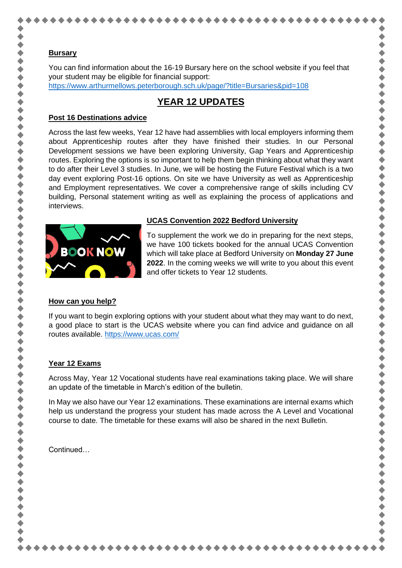You can find information about the 16-19 Bursary here on the school website if you feel that your student may be eligible for financial support: <https://www.arthurmellows.peterborough.sch.uk/page/?title=Bursaries&pid=108>

# **YEAR 12 UPDATES**

## **Post 16 Destinations advice**

Across the last few weeks, Year 12 have had assemblies with local employers informing them about Apprenticeship routes after they have finished their studies. In our Personal Development sessions we have been exploring University, Gap Years and Apprenticeship routes. Exploring the options is so important to help them begin thinking about what they want to do after their Level 3 studies. In June, we will be hosting the Future Festival which is a two day event exploring Post-16 options. On site we have University as well as Apprenticeship and Employment representatives. We cover a comprehensive range of skills including CV building, Personal statement writing as well as explaining the process of applications and interviews.



### **UCAS Convention 2022 Bedford University**

To supplement the work we do in preparing for the next steps, we have 100 tickets booked for the annual UCAS Convention which will take place at Bedford University on **Monday 27 June 2022**. In the coming weeks we will write to you about this event and offer tickets to Year 12 students.

\*\*\*\*\*\*\*\*\*\*\*\*\*\*\*\*\*\*\*\*\*\*\*\*\*\*\*\*\*\*

..........

 $\bullet$ 

## **How can you help?**

If you want to begin exploring options with your student about what they may want to do next, a good place to start is the UCAS website where you can find advice and guidance on all routes available.<https://www.ucas.com/>

## **Year 12 Exams**

Across May, Year 12 Vocational students have real examinations taking place. We will share an update of the timetable in March's edition of the bulletin.

In May we also have our Year 12 examinations. These examinations are internal exams which help us understand the progress your student has made across the A Level and Vocational course to date. The timetable for these exams will also be shared in the next Bulletin.

**Continued**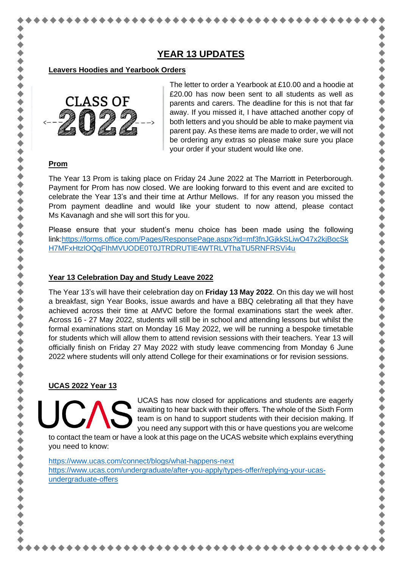# **YEAR 13 UPDATES**

#### **Leavers Hoodies and Yearbook Orders**



The letter to order a Yearbook at £10.00 and a hoodie at £20.00 has now been sent to all students as well as parents and carers. The deadline for this is not that far away. If you missed it, I have attached another copy of both letters and you should be able to make payment via parent pay. As these items are made to order, we will not be ordering any extras so please make sure you place your order if your student would like one.

+ + + + + + + + +

.........

+ + + + + + + +

## **Prom**

The Year 13 Prom is taking place on Friday 24 June 2022 at The Marriott in Peterborough. Payment for Prom has now closed. We are looking forward to this event and are excited to celebrate the Year 13's and their time at Arthur Mellows. If for any reason you missed the Prom payment deadline and would like your student to now attend, please contact Ms Kavanagh and she will sort this for you.

Please ensure that your student's menu choice has been made using the following link[:https://forms.office.com/Pages/ResponsePage.aspx?id=mf3fnJGjkkSLiwO47x2kjBocSk](https://forms.office.com/Pages/ResponsePage.aspx?id=mf3fnJGjkkSLiwO47x2kjBocSkH7MFxHtzlOQqFIhMVUODE0T0JTRDRUTlE4WTRLVThaTU5RNFRSVi4u) [H7MFxHtzlOQqFIhMVUODE0T0JTRDRUTlE4WTRLVThaTU5RNFRSVi4u](https://forms.office.com/Pages/ResponsePage.aspx?id=mf3fnJGjkkSLiwO47x2kjBocSkH7MFxHtzlOQqFIhMVUODE0T0JTRDRUTlE4WTRLVThaTU5RNFRSVi4u)

### **Year 13 Celebration Day and Study Leave 2022**

The Year 13's will have their celebration day on **Friday 13 May 2022**. On this day we will host a breakfast, sign Year Books, issue awards and have a BBQ celebrating all that they have achieved across their time at AMVC before the formal examinations start the week after. Across 16 - 27 May 2022, students will still be in school and attending lessons but whilst the formal examinations start on Monday 16 May 2022, we will be running a bespoke timetable for students which will allow them to attend revision sessions with their teachers. Year 13 will officially finish on Friday 27 May 2022 with study leave commencing from Monday 6 June 2022 where students will only attend College for their examinations or for revision sessions.

## **UCAS 2022 Year 13**

UCAS has now closed for applications and students are eagerly awaiting to hear back with their offers. The whole of the Sixth Form team is on hand to support students with their decision making. If you need any support with this or have questions you are welcome

to contact the team or have a look at this page on the UCAS website which explains everything you need to know:

<https://www.ucas.com/connect/blogs/what-happens-next> [https://www.ucas.com/undergraduate/after-you-apply/types-offer/replying-your-ucas](https://www.ucas.com/undergraduate/after-you-apply/types-offer/replying-your-ucas-undergraduate-offers)[undergraduate-offers](https://www.ucas.com/undergraduate/after-you-apply/types-offer/replying-your-ucas-undergraduate-offers)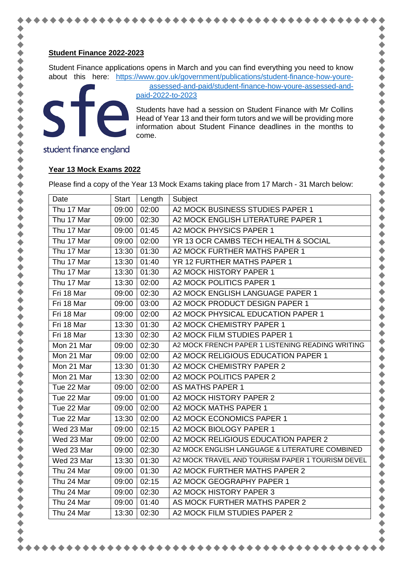#### **Student Finance 2022-2023**

Student Finance applications opens in March and you can find everything you need to know about this here: [https://www.gov.uk/government/publications/student-finance-how-youre-](https://www.gov.uk/government/publications/student-finance-how-youre-assessed-and-paid/student-finance-how-youre-assessed-and-paid-2022-to-2023)

ste

[assessed-and-paid/student-finance-how-youre-assessed-and](https://www.gov.uk/government/publications/student-finance-how-youre-assessed-and-paid/student-finance-how-youre-assessed-and-paid-2022-to-2023)[paid-2022-to-2023](https://www.gov.uk/government/publications/student-finance-how-youre-assessed-and-paid/student-finance-how-youre-assessed-and-paid-2022-to-2023)

Students have had a session on Student Finance with Mr Collins Head of Year 13 and their form tutors and we will be providing more information about Student Finance deadlines in the months to come.

........

 $\bullet$ 

student finance england

### **Year 13 Mock Exams 2022**

Please find a copy of the Year 13 Mock Exams taking place from 17 March - 31 March below:

| Date       | <b>Start</b> | Length | Subject                                          |
|------------|--------------|--------|--------------------------------------------------|
| Thu 17 Mar | 09:00        | 02:00  | A2 MOCK BUSINESS STUDIES PAPER 1                 |
| Thu 17 Mar | 09:00        | 02:30  | A2 MOCK ENGLISH LITERATURE PAPER 1               |
| Thu 17 Mar | 09:00        | 01:45  | A2 MOCK PHYSICS PAPER 1                          |
| Thu 17 Mar | 09:00        | 02:00  | YR 13 OCR CAMBS TECH HEALTH & SOCIAL             |
| Thu 17 Mar | 13:30        | 01:30  | A2 MOCK FURTHER MATHS PAPER 1                    |
| Thu 17 Mar | 13:30        | 01:40  | YR 12 FURTHER MATHS PAPER 1                      |
| Thu 17 Mar | 13:30        | 01:30  | A2 MOCK HISTORY PAPER 1                          |
| Thu 17 Mar | 13:30        | 02:00  | A2 MOCK POLITICS PAPER 1                         |
| Fri 18 Mar | 09:00        | 02:30  | A2 MOCK ENGLISH LANGUAGE PAPER 1                 |
| Fri 18 Mar | 09:00        | 03:00  | A2 MOCK PRODUCT DESIGN PAPER 1                   |
| Fri 18 Mar | 09:00        | 02:00  | A2 MOCK PHYSICAL EDUCATION PAPER 1               |
| Fri 18 Mar | 13:30        | 01:30  | A2 MOCK CHEMISTRY PAPER 1                        |
| Fri 18 Mar | 13:30        | 02:30  | A2 MOCK FILM STUDIES PAPER 1                     |
| Mon 21 Mar | 09:00        | 02:30  | A2 MOCK FRENCH PAPER 1 LISTENING READING WRITING |
| Mon 21 Mar | 09:00        | 02:00  | A2 MOCK RELIGIOUS EDUCATION PAPER 1              |
| Mon 21 Mar | 13:30        | 01:30  | A2 MOCK CHEMISTRY PAPER 2                        |
| Mon 21 Mar | 13:30        | 02:00  | A2 MOCK POLITICS PAPER 2                         |
| Tue 22 Mar | 09:00        | 02:00  | <b>AS MATHS PAPER 1</b>                          |
| Tue 22 Mar | 09:00        | 01:00  | A2 MOCK HISTORY PAPER 2                          |
| Tue 22 Mar | 09:00        | 02:00  | A2 MOCK MATHS PAPER 1                            |
| Tue 22 Mar | 13:30        | 02:00  | A2 MOCK ECONOMICS PAPER 1                        |
| Wed 23 Mar | 09:00        | 02:15  | A2 MOCK BIOLOGY PAPER 1                          |
| Wed 23 Mar | 09:00        | 02:00  | A2 MOCK RELIGIOUS EDUCATION PAPER 2              |
| Wed 23 Mar | 09:00        | 02:30  | A2 MOCK ENGLISH LANGUAGE & LITERATURE COMBINED   |
| Wed 23 Mar | 13:30        | 01:30  | A2 MOCK TRAVEL AND TOURISM PAPER 1 TOURISM DEVEL |
| Thu 24 Mar | 09:00        | 01:30  | A2 MOCK FURTHER MATHS PAPER 2                    |
| Thu 24 Mar | 09:00        | 02:15  | A2 MOCK GEOGRAPHY PAPER 1                        |
| Thu 24 Mar | 09:00        | 02:30  | A2 MOCK HISTORY PAPER 3                          |
| Thu 24 Mar | 09:00        | 01:40  | AS MOCK FURTHER MATHS PAPER 2                    |
| Thu 24 Mar | 13:30        | 02:30  | A2 MOCK FILM STUDIES PAPER 2                     |